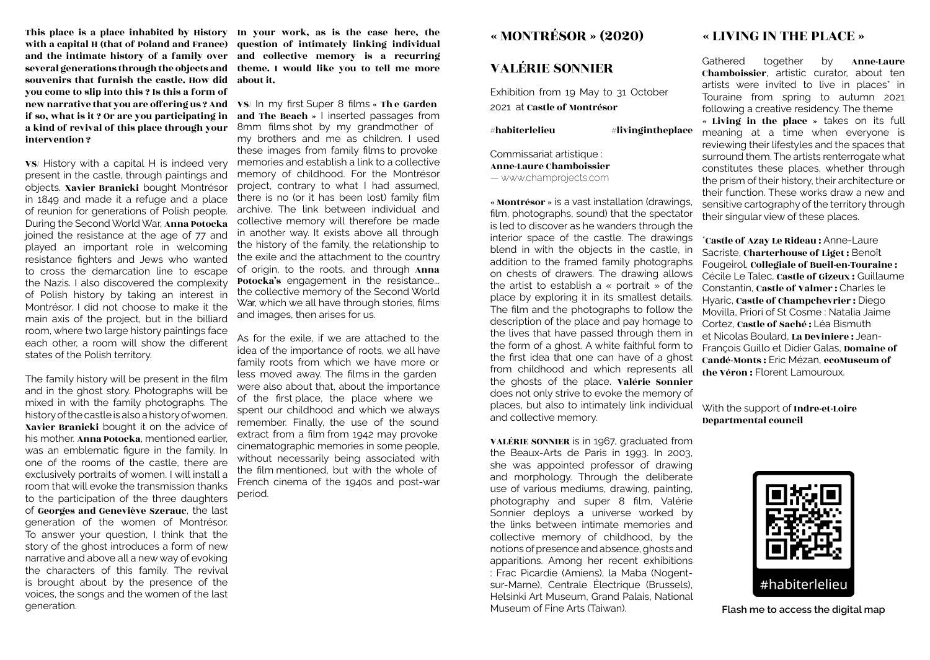This place is a place inhabited by History In your work, as is the case here, the with a capital H (that of Poland and France) and the intimate history of a family over several generations through the objects and souvenirs that furnish the castle. How did you come to slip into this ? Is this a form of new narrative that you are offering us ? And VS/ In my first Super 8 films « Th e Garden if so, what is it ? Or are you participating in a kind of revival of this place through your intervention ?

VS/ History with a capital H is indeed very present in the castle, through paintings and objects. Xavier Branicki bought Montrésor in 1849 and made it a refuge and a place of reunion for generations of Polish people. During the Second World War, Anna Potocka joined the resistance at the age of 77 and played an important role in welcoming resistance fighters and Jews who wanted to cross the demarcation line to escape the Nazis. I also discovered the complexity of Polish history by taking an interest in Montrésor. I did not choose to make it the main axis of the project, but in the billiard room, where two large history paintings face each other, a room will show the different states of the Polish territory.

The family history will be present in the film and in the ghost story. Photographs will be mixed in with the family photographs. The history of the castle is also a history of women. Xavier Branicki bought it on the advice of his mother. Anna Potocka, mentioned earlier, was an emblematic figure in the family. In one of the rooms of the castle, there are exclusively portraits of women. I will install a room that will evoke the transmission thanks to the participation of the three daughters of Georges and Geneviève Szerauc, the last generation of the women of Montrésor. To answer your question, I think that the story of the ghost introduces a form of new narrative and above all a new way of evoking the characters of this family. The revival is brought about by the presence of the voices, the songs and the women of the last generation.

question of intimately linking individual and collective memory is a recurring theme. I would like you to tell me more about it.

and The Beach » I inserted passages from 8mm films shot by my grandmother of my brothers and me as children. I used these images from family films to provoke memories and establish a link to a collective memory of childhood. For the Montrésor project, contrary to what I had assumed, there is no (or it has been lost) family film archive. The link between individual and collective memory will therefore be made in another way. It exists above all through the history of the family, the relationship to the exile and the attachment to the country of origin, to the roots, and through Anna Potocka's engagement in the resistance... the collective memory of the Second World War, which we all have through stories, films and images, then arises for us.

As for the exile, if we are attached to the idea of the importance of roots, we all have family roots from which we have more or less moved away. The films in the garden were also about that, about the importance of the first place, the place where we spent our childhood and which we always remember. Finally, the use of the sound extract from a film from 1942 may provoke cinematographic memories in some people, without necessarily being associated with the film mentioned, but with the whole of French cinema of the 1940s and post-war period.

# « MONTRÉSOR » (2020)

## VALÉRIE SONNIER

Exhibition from 19 May to 31 October 2021 at Castle of Montrésor

 $#$ habiterlelieu  $#$ livingintheplace

Commissariat artistique : Anne-Laure Chamboissier — www.champrojects.com

« Montrésor » is a vast installation (drawings, film, photographs, sound) that the spectator is led to discover as he wanders through the interior space of the castle. The drawings blend in with the objects in the castle, in addition to the framed family photographs on chests of drawers. The drawing allows the artist to establish a « portrait » of the place by exploring it in its smallest details. The film and the photographs to follow the description of the place and pay homage to the lives that have passed through them in the form of a ghost. A white faithful form to the first idea that one can have of a ghost from childhood and which represents all the ghosts of the place. Valérie Sonnier does not only strive to evoke the memory of places, but also to intimately link individual and collective memory.

VALÉRIE SONNIER is in 1967, graduated from the Beaux-Arts de Paris in 1993. In 2003, she was appointed professor of drawing and morphology. Through the deliberate use of various mediums, drawing, painting, photography and super 8 film, Valérie Sonnier deploys a universe worked by the links between intimate memories and collective memory of childhood, by the notions of presence and absence, ghosts and apparitions. Among her recent exhibitions : Frac Picardie (Amiens), la Maba (Nogentsur-Marne), Centrale Électrique (Brussels), Helsinki Art Museum, Grand Palais, National Museum of Fine Arts (Taiwan).

## « LIVING IN THE PLACE »

Gathered together by Anne-Laure Chamboissier, artistic curator, about ten artists were invited to live in places<sup>\*</sup> in Touraine from spring to autumn 2021 following a creative residency. The theme

« Living in the place » takes on its full meaning at a time when everyone is reviewing their lifestyles and the spaces that surround them. The artists renterrogate what constitutes these places, whether through the prism of their history, their architecture or their function. These works draw a new and sensitive cartography of the territory through their singular view of these places.

\*Castle of Azay Le Rideau : Anne-Laure Sacriste, Charterhouse of Liget : Benoît Fougeirol, Collegiale of Bueil-en-Touraine : Cécile Le Talec, Castle of Gizeux : Guillaume Constantin, Castle of Valmer : Charles le Hyaric, Castle of Champchevrier : Diego Movilla, Priori of St Cosme : Natalia Jaime Cortez, Castle of Saché : Léa Bismuth et Nicolas Boulard, La Deviniere : Jean-François Guillo et Didier Galas, Domaine of Candé-Monts : Eric Mézan, ecoMuseum of the Véron : Florent Lamouroux.

With the support of Indre-et-Loire Departmental council



**Flash me to access the digital map**